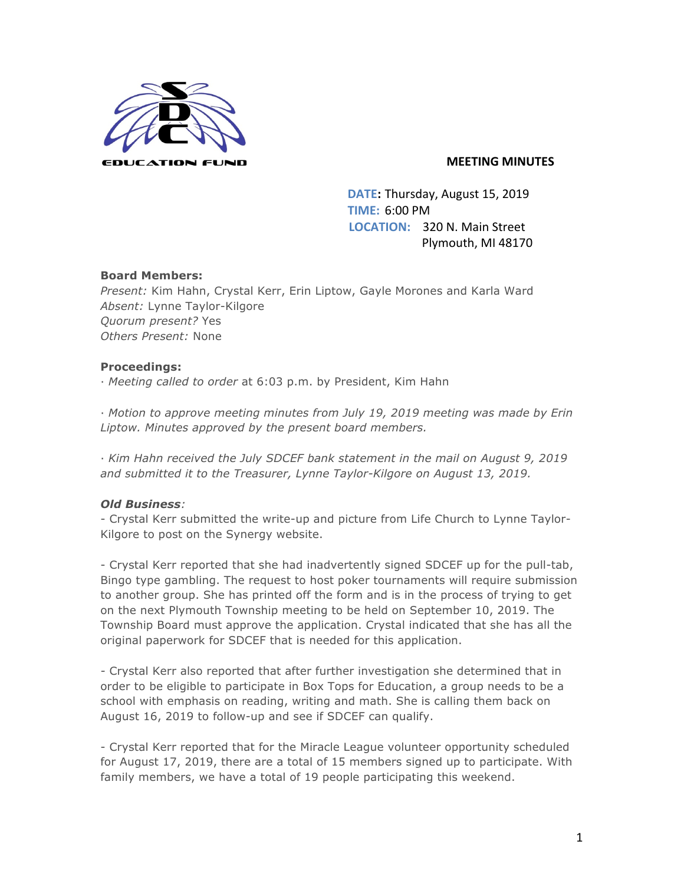

### **MEETING MINUTES**

**DATE:** Thursday, August 15, 2019 **TIME:** 6:00 PM **LOCATION:** 320 N. Main Street Plymouth, MI 48170

### **Board Members:**

*Present:* Kim Hahn, Crystal Kerr, Erin Liptow, Gayle Morones and Karla Ward *Absent:* Lynne Taylor-Kilgore *Quorum present?* Yes *Others Present:* None

### **Proceedings:**

· *Meeting called to order* at 6:03 p.m. by President, Kim Hahn

· *Motion to approve meeting minutes from July 19, 2019 meeting was made by Erin Liptow. Minutes approved by the present board members.* 

· *Kim Hahn received the July SDCEF bank statement in the mail on August 9, 2019 and submitted it to the Treasurer, Lynne Taylor-Kilgore on August 13, 2019.*

## *Old Business:*

- Crystal Kerr submitted the write-up and picture from Life Church to Lynne Taylor-Kilgore to post on the Synergy website.

- Crystal Kerr reported that she had inadvertently signed SDCEF up for the pull-tab, Bingo type gambling. The request to host poker tournaments will require submission to another group. She has printed off the form and is in the process of trying to get on the next Plymouth Township meeting to be held on September 10, 2019. The Township Board must approve the application. Crystal indicated that she has all the original paperwork for SDCEF that is needed for this application.

*-* Crystal Kerr also reported that after further investigation she determined that in order to be eligible to participate in Box Tops for Education, a group needs to be a school with emphasis on reading, writing and math. She is calling them back on August 16, 2019 to follow-up and see if SDCEF can qualify.

- Crystal Kerr reported that for the Miracle League volunteer opportunity scheduled for August 17, 2019, there are a total of 15 members signed up to participate. With family members, we have a total of 19 people participating this weekend.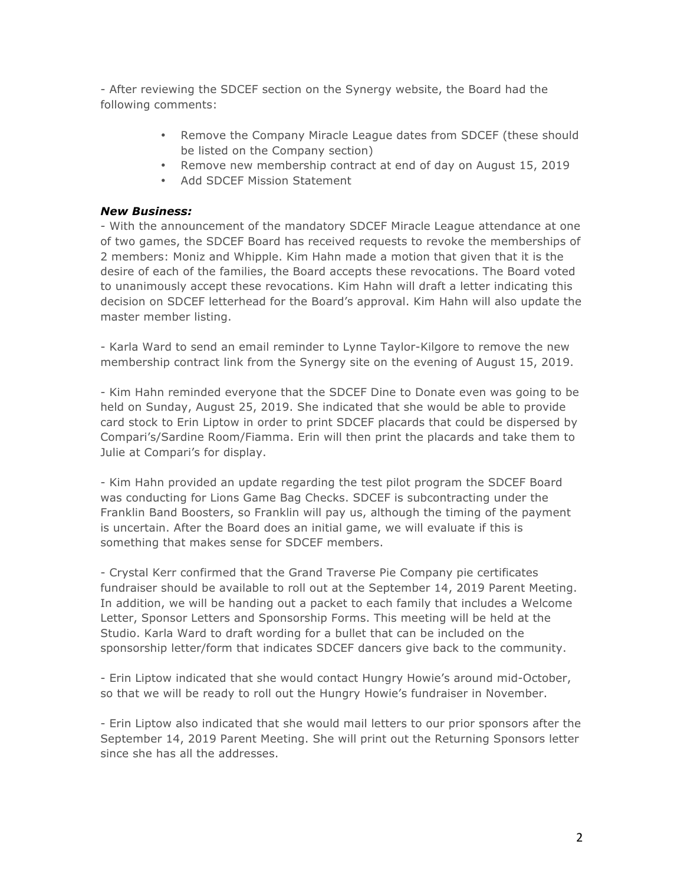- After reviewing the SDCEF section on the Synergy website, the Board had the following comments:

- Remove the Company Miracle League dates from SDCEF (these should be listed on the Company section)
- Remove new membership contract at end of day on August 15, 2019
- Add SDCEF Mission Statement

### *New Business:*

- With the announcement of the mandatory SDCEF Miracle League attendance at one of two games, the SDCEF Board has received requests to revoke the memberships of 2 members: Moniz and Whipple. Kim Hahn made a motion that given that it is the desire of each of the families, the Board accepts these revocations. The Board voted to unanimously accept these revocations. Kim Hahn will draft a letter indicating this decision on SDCEF letterhead for the Board's approval. Kim Hahn will also update the master member listing.

- Karla Ward to send an email reminder to Lynne Taylor-Kilgore to remove the new membership contract link from the Synergy site on the evening of August 15, 2019.

- Kim Hahn reminded everyone that the SDCEF Dine to Donate even was going to be held on Sunday, August 25, 2019. She indicated that she would be able to provide card stock to Erin Liptow in order to print SDCEF placards that could be dispersed by Compari's/Sardine Room/Fiamma. Erin will then print the placards and take them to Julie at Compari's for display.

- Kim Hahn provided an update regarding the test pilot program the SDCEF Board was conducting for Lions Game Bag Checks. SDCEF is subcontracting under the Franklin Band Boosters, so Franklin will pay us, although the timing of the payment is uncertain. After the Board does an initial game, we will evaluate if this is something that makes sense for SDCEF members.

- Crystal Kerr confirmed that the Grand Traverse Pie Company pie certificates fundraiser should be available to roll out at the September 14, 2019 Parent Meeting. In addition, we will be handing out a packet to each family that includes a Welcome Letter, Sponsor Letters and Sponsorship Forms. This meeting will be held at the Studio. Karla Ward to draft wording for a bullet that can be included on the sponsorship letter/form that indicates SDCEF dancers give back to the community.

- Erin Liptow indicated that she would contact Hungry Howie's around mid-October, so that we will be ready to roll out the Hungry Howie's fundraiser in November.

- Erin Liptow also indicated that she would mail letters to our prior sponsors after the September 14, 2019 Parent Meeting. She will print out the Returning Sponsors letter since she has all the addresses.